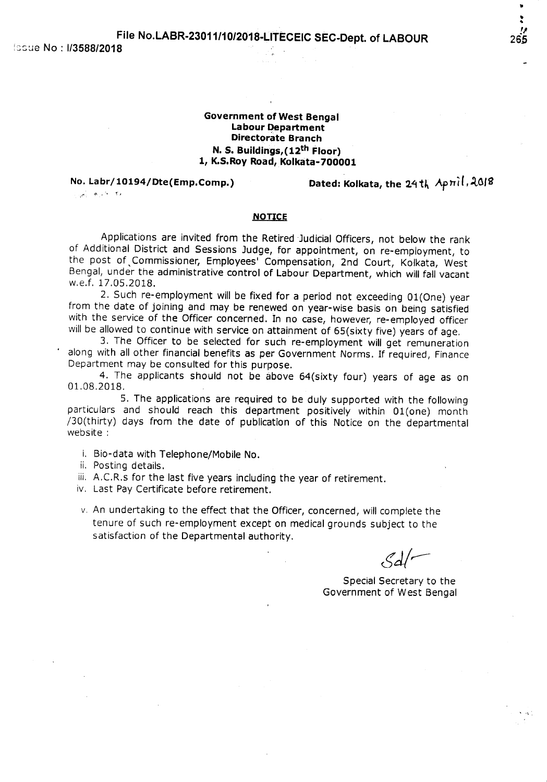Government of West Bengal Labour Department Directorate Branch N. S. Buildings,(12th Floor) 1, K.S.Roy Road, Kolkata-700001

No. Labr/10194/Dte(Emp.Comp.) Dated: Kolkata, the 24th Apmil, 2018

### <i"- \_ -. ~) *-:*

## NOTICE

Applications are invited from the Retired Judicial *Officers,* not below the rank of Additional District and Sessions Judge, for appointment, on re-employment, to the post of, Commissioner, Employees' Compensation, 2nd Court, Kolkata, West Bengal, under the administrative control of Labour Department, which will fall vacant w.e.f. 17.05.2018.

2. Such re-employment will be fixed for a period not exceeding 01(One) year from the date of joining and may be renewed on year-wise basis on being satisfied with the service of the Officer concerned. In no case, however, re-employed officer will be allowed to continue with service on attainment of 65(sixty five) years of age.

3. The Officer to be selected for such re-employment will get remuneration along with all other financial benefits as per Government Norms. If required, Finance Department may be consulted for this purpose.

4. The applicants should not be above 64(sixty four) years of age as on 01.08.2018.

5. The applications are required to be duly supported with the following particulars and should reach this department positively within 01(one) month /30(thirty) days from the date of publication of this Notice on the departmental website:

i. Bio-data with Telephone/Mobile No.

ii. Posting details.

iii. A.C.R.s for the last five years including the year of retirement.

iv. Last Pay Certificate before retirement.

v. An undertaking to the effect that the Officer, concerned, will complete the tenure of such re-employment except on medical grounds subject to the satisfaction of the Departmental authority.

 $\mathcal{L}$ d/'

Special Secretary to the Government of West Bengal •

..